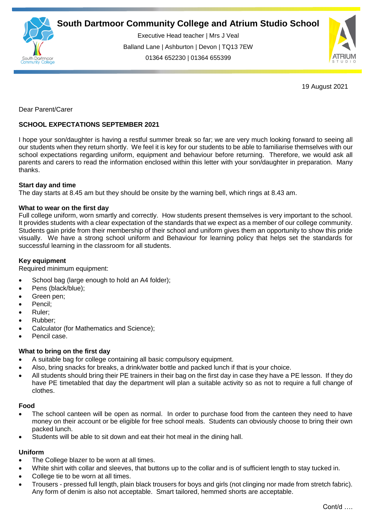

Executive Head teacher | Mrs J Veal Balland Lane | Ashburton | Devon | TQ13 7EW 01364 652230 | 01364 655399



19 August 2021

Dear Parent/Carer

# **SCHOOL EXPECTATIONS SEPTEMBER 2021**

I hope your son/daughter is having a restful summer break so far; we are very much looking forward to seeing all our students when they return shortly. We feel it is key for our students to be able to familiarise themselves with our school expectations regarding uniform, equipment and behaviour before returning. Therefore, we would ask all parents and carers to read the information enclosed within this letter with your son/daughter in preparation. Many .<br>thanks.

## **Start day and time**

The day starts at 8.45 am but they should be onsite by the warning bell, which rings at 8.43 am.

## **What to wear on the first day**

Full college uniform, worn smartly and correctly. How students present themselves is very important to the school. It provides students with a clear expectation of the standards that we expect as a member of our college community. Students gain pride from their membership of their school and uniform gives them an opportunity to show this pride visually. We have a strong school uniform and Behaviour for learning policy that helps set the standards for successful learning in the classroom for all students.

## **Key equipment**

Required minimum equipment:

- School bag (large enough to hold an A4 folder);
- Pens (black/blue);
- Green pen;
- Pencil;
- Ruler;
- Rubber;
- Calculator (for Mathematics and Science);
- Pencil case.

## **What to bring on the first day**

- A suitable bag for college containing all basic compulsory equipment.
- Also, bring snacks for breaks, a drink/water bottle and packed lunch if that is your choice.
- All students should bring their PE trainers in their bag on the first day in case they have a PE lesson. If they do have PE timetabled that day the department will plan a suitable activity so as not to require a full change of clothes.

### **Food**

- The school canteen will be open as normal. In order to purchase food from the canteen they need to have money on their account or be eligible for free school meals. Students can obviously choose to bring their own packed lunch.
- Students will be able to sit down and eat their hot meal in the dining hall.

### **Uniform**

- The College blazer to be worn at all times.
- White shirt with collar and sleeves, that buttons up to the collar and is of sufficient length to stay tucked in.
- College tie to be worn at all times.
- Trousers pressed full length, plain black trousers for boys and girls (not clinging nor made from stretch fabric). Any form of denim is also not acceptable. Smart tailored, hemmed shorts are acceptable.